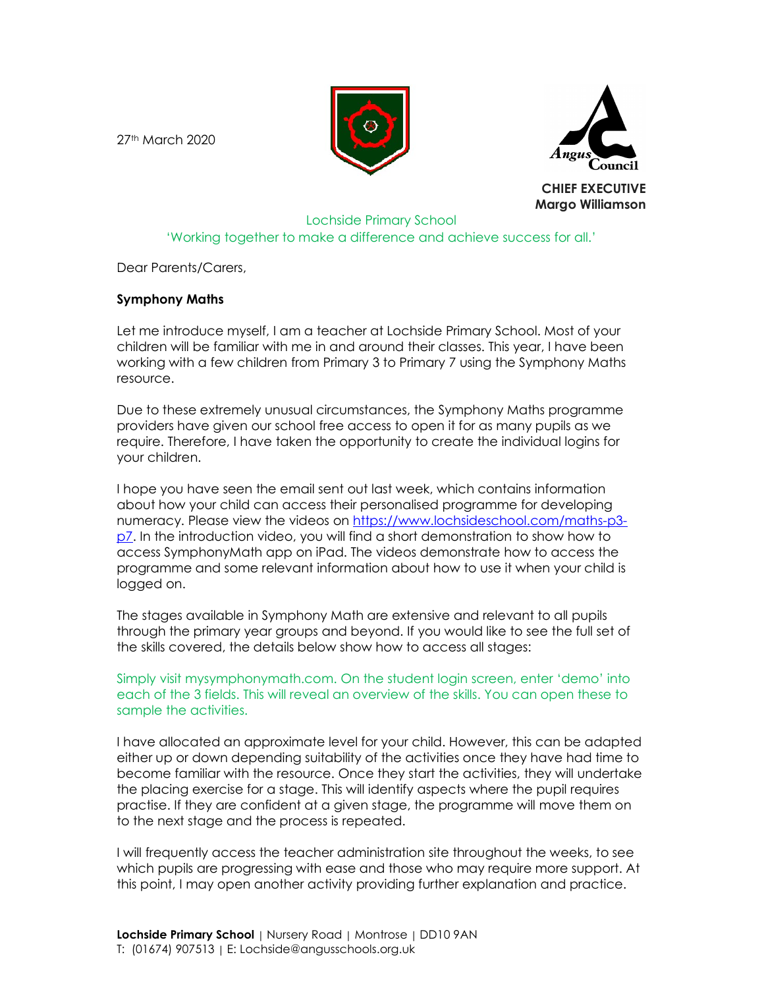27th March 2020





CHIEF EXECUTIVE Margo Williamson

## Lochside Primary School 'Working together to make a difference and achieve success for all.'

Dear Parents/Carers,

## Symphony Maths

Let me introduce myself, I am a teacher at Lochside Primary School. Most of your children will be familiar with me in and around their classes. This year, I have been working with a few children from Primary 3 to Primary 7 using the Symphony Maths resource.

Due to these extremely unusual circumstances, the Symphony Maths programme providers have given our school free access to open it for as many pupils as we require. Therefore, I have taken the opportunity to create the individual logins for your children.

I hope you have seen the email sent out last week, which contains information about how your child can access their personalised programme for developing numeracy. Please view the videos on https://www.lochsideschool.com/maths-p3 p7. In the introduction video, you will find a short demonstration to show how to access SymphonyMath app on iPad. The videos demonstrate how to access the programme and some relevant information about how to use it when your child is logged on.

The stages available in Symphony Math are extensive and relevant to all pupils through the primary year groups and beyond. If you would like to see the full set of the skills covered, the details below show how to access all stages:

Simply visit mysymphonymath.com. On the student login screen, enter 'demo' into each of the 3 fields. This will reveal an overview of the skills. You can open these to sample the activities.

I have allocated an approximate level for your child. However, this can be adapted either up or down depending suitability of the activities once they have had time to become familiar with the resource. Once they start the activities, they will undertake the placing exercise for a stage. This will identify aspects where the pupil requires practise. If they are confident at a given stage, the programme will move them on to the next stage and the process is repeated.

I will frequently access the teacher administration site throughout the weeks, to see which pupils are progressing with ease and those who may require more support. At this point, I may open another activity providing further explanation and practice.